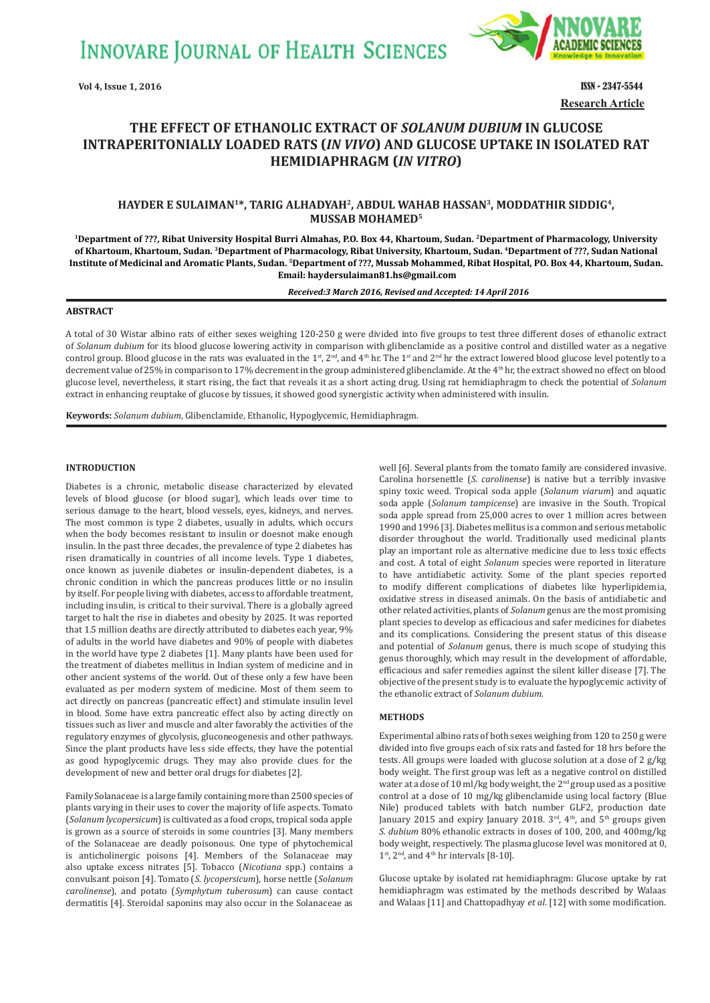**INNOVARE JOURNAL OF HEALTH SCIENCES** 



**Vol 4, Issue 1, 2016 ISSN - 2347-5544 Research Article**

# **THE EFFECT OF ETHANOLIC EXTRACT OF** *SOLANUM DUBIUM* **IN GLUCOSE INTRAPERITONIALLY LOADED RATS (IN VIVO) AND GLUCOSE UPTAKE IN ISOLATED RAT HEMIDIAPHRAGM** (IN VITRO)

## **HAYDER E SULAIMAN1\*, TARIG ALHADYAH2, ABDUL WAHAB HASSAN3, MODDATHIR SIDDIG4, MUSSAB MOHAMED5**

**<sup>1</sup>Department of ???, Ribat University Hospital Burri Almahas, P.O. Box 44, Khartoum, Sudan. 2Department of Pharmacology, University of Khartoum, Khartoum, Sudan. <sup>3</sup> Department of Pharmacology, Ribat University, Khartoum, Sudan. <sup>4</sup> Department of ???, Sudan National Institute of Medicinal and Aromatic Plants, Sudan. <sup>5</sup> Department of ???, Mussab Mohammed, Ribat Hospital, PO. Box 44, Khartoum, Sudan. Email: haydersulaiman81.hs@gmail.com**

*Received:3 March 2016, Revised and Accepted: 14 April 2016*

## **ABSTRACT**

A total of 30 Wistar albino rats of either sexes weighing 120-250 g were divided into five groups to test three different doses of ethanolic extract of *Solanum dubium* for its blood glucose lowering activity in comparison with glibenclamide as a positive control and distilled water as a negative control group. Blood glucose in the rats was evaluated in the 1<sup>st</sup>, 2<sup>nd</sup>, and 4<sup>th</sup> hr. The 1<sup>st</sup> and 2<sup>nd</sup> hr the extract lowered blood glucose level potently to a decrement value of 25% in comparison to 17% decrement in the group administered glibenclamide. At the 4<sup>th</sup> hr, the extract showed no effect on blood glucose level, nevertheless, it start rising, the fact that reveals it as a short acting drug. Using rat hemidiaphragm to check the potential of *Solanum* extract in enhancing reuptake of glucose by tissues, it showed good synergistic activity when administered with insulin.

**Keywords:** *Solanum dubium*, Glibenclamide, Ethanolic, Hypoglycemic, Hemidiaphragm.

#### **INTRODUCTION**

Diabetes is a chronic, metabolic disease characterized by elevated levels of blood glucose (or blood sugar), which leads over time to serious damage to the heart, blood vessels, eyes, kidneys, and nerves. The most common is type 2 diabetes, usually in adults, which occurs when the body becomes resistant to insulin or doesnot make enough insulin. In the past three decades, the prevalence of type 2 diabetes has risen dramatically in countries of all income levels. Type 1 diabetes, once known as juvenile diabetes or insulin-dependent diabetes, is a chronic condition in which the pancreas produces little or no insulin by itself. For people living with diabetes, access to affordable treatment, including insulin, is critical to their survival. There is a globally agreed target to halt the rise in diabetes and obesity by 2025. It was reported that 1.5 million deaths are directly attributed to diabetes each year, 9% of adults in the world have diabetes and 90% of people with diabetes in the world have type 2 diabetes [1]. Many plants have been used for the treatment of diabetes mellitus in Indian system of medicine and in other ancient systems of the world. Out of these only a few have been evaluated as per modern system of medicine. Most of them seem to act directly on pancreas (pancreatic effect) and stimulate insulin level in blood. Some have extra pancreatic effect also by acting directly on tissues such as liver and muscle and alter favorably the activities of the regulatory enzymes of glycolysis, gluconeogenesis and other pathways. Since the plant products have less side effects, they have the potential as good hypoglycemic drugs. They may also provide clues for the development of new and better oral drugs for diabetes [2].

Family Solanaceae is a large family containing more than 2500 species of plants varying in their uses to cover the majority of life aspects. Tomato (*Solanum lycopersicum*) is cultivated as a food crops, tropical soda apple is grown as a source of steroids in some countries [3]. Many members of the Solanaceae are deadly poisonous. One type of phytochemical is anticholinergic poisons [4]. Members of the Solanaceae may also uptake excess nitrates [5]. Tobacco (*Nicotiana* spp.) contains a convulsant poison [4]. Tomato (*S. lycopersicum*), horse nettle (*Solanum carolinense*), and potato (*Symphytum tuberosum*) can cause contact dermatitis [4]. Steroidal saponins may also occur in the Solanaceae as

well [6]. Several plants from the tomato family are considered invasive. Carolina horsenettle (*S. carolinense*) is native but a terribly invasive spiny toxic weed. Tropical soda apple (*Solanum viarum*) and aquatic soda apple (*Solanum tampicense*) are invasive in the South. Tropical soda apple spread from 25,000 acres to over 1 million acres between 1990 and 1996 [3]. Diabetes mellitus is a common and serious metabolic disorder throughout the world. Traditionally used medicinal plants play an important role as alternative medicine due to less toxic effects and cost. A total of eight *Solanum* species were reported in literature to have antidiabetic activity. Some of the plant species reported to modify different complications of diabetes like hyperlipidemia, oxidative stress in diseased animals. On the basis of antidiabetic and other related activities, plants of *Solanum* genus are the most promising plant species to develop as efficacious and safer medicines for diabetes and its complications. Considering the present status of this disease and potential of *Solanum* genus, there is much scope of studying this genus thoroughly, which may result in the development of affordable, efficacious and safer remedies against the silent killer disease [7]. The objective of the present study is to evaluate the hypoglycemic activity of the ethanolic extract of *Solanum dubium.*

#### **METHODS**

Experimental albino rats of both sexes weighing from 120 to 250 g were divided into five groups each of six rats and fasted for 18 hrs before the tests. All groups were loaded with glucose solution at a dose of 2 g/kg body weight. The first group was left as a negative control on distilled water at a dose of 10 ml/kg body weight, the 2<sup>nd</sup> group used as a positive control at a dose of 10 mg/kg glibenclamide using local factory (Blue Nile) produced tablets with batch number GLF2, production date January 2015 and expiry January 2018.  $3<sup>rd</sup>$ ,  $4<sup>th</sup>$ , and  $5<sup>th</sup>$  groups given *S. dubium* 80% ethanolic extracts in doses of 100, 200, and 400mg/kg body weight, respectively. The plasma glucose level was monitored at 0,  $1<sup>st</sup>$ ,  $2<sup>nd</sup>$ , and  $4<sup>th</sup>$  hr intervals [8-10].

Glucose uptake by isolated rat hemidiaphragm: Glucose uptake by rat hemidiaphragm was estimated by the methods described by Walaas and Walaas [11] and Chattopadhyay *et al*. [12] with some modification.